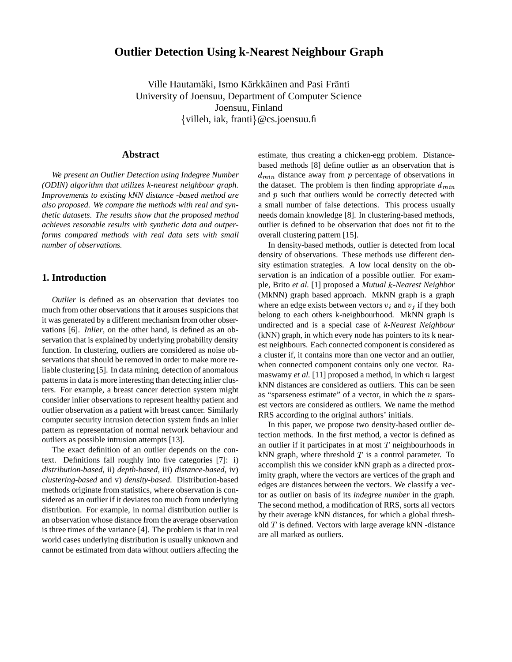# **Outlier Detection Using k-Nearest Neighbour Graph**

Ville Hautamäki, Ismo Kärkkäinen and Pasi Fränti University of Joensuu, Department of Computer Science Joensuu, Finland  $\{$ villeh, iak, franti $\}$ @cs.joensuu.fi

### **Abstract**

*We present an Outlier Detection using Indegree Number (ODIN) algorithm that utilizes k-nearest neighbour graph. Improvements to existing kNN distance -based method are also proposed. We compare the methods with real and synthetic datasets. The results show that the proposed method achieves resonable results with synthetic data and outperforms compared methods with real data sets with small number of observations.*

# **1. Introduction**

*Outlier* is defined as an observation that deviates too much from other observations that it arouses suspicions that it was generated by a different mechanism from other observations [6]. *Inlier*, on the other hand, is defined as an observation that is explained by underlying probability density function. In clustering, outliers are considered as noise observations that should be removed in order to make more reliable clustering [5]. In data mining, detection of anomalous patterns in data is more interesting than detecting inlier clusters. For example, a breast cancer detection system might consider inlier observations to represent healthy patient and outlier observation as a patient with breast cancer. Similarly computer security intrusion detection system finds an inlier pattern as representation of normal network behaviour and outliers as possible intrusion attempts [13].

The exact definition of an outlier depends on the context. Definitions fall roughly into five categories [7]: i) *distribution-based*, ii) *depth-based*, iii) *distance-based*, iv) *clustering-based* and v) *density-based*. Distribution-based methods originate from statistics, where observation is considered as an outlier if it deviates too much from underlying distribution. For example, in normal distribution outlier is an observation whose distance from the average observation is three times of the variance [4]. The problem is that in real world cases underlying distribution is usually unknown and cannot be estimated from data without outliers affecting the estimate, thus creating a chicken-egg problem. Distancebased methods [8] define outlier as an observation that is  $d_{min}$  distance away from p percentage of observations in the dataset. The problem is then finding appropriate  $d_{min}$ and  $p$  such that outliers would be correctly detected with a small number of false detections. This process usually needs domain knowledge [8]. In clustering-based methods, outlier is defined to be observation that does not fit to the overall clustering pattern [15].

In density-based methods, outlier is detected from local density of observations. These methods use different density estimation strategies. A low local density on the observation is an indication of a possible outlier. For example, Brito *et al.* [1] proposed a *Mutual -Nearest Neighbor* (MkNN) graph based approach. MkNN graph is a graph where an edge exists between vectors  $v_i$  and  $v_j$  if they both belong to each others k-neighbourhood. MkNN graph is undirected and is a special case of *k-Nearest Neighbour* (kNN) graph, in which every node has pointers to its k nearest neighbours. Each connected component is considered as a cluster if, it contains more than one vector and an outlier, when connected component contains only one vector. Ramaswamy *et al.* [11] proposed a method, in which  $n$  largest kNN distances are considered as outliers. This can be seen as "sparseness estimate" of a vector, in which the  $n$  sparsest vectors are considered as outliers. We name the method RRS according to the original authors' initials.

In this paper, we propose two density-based outlier detection methods. In the first method, a vector is defined as an outlier if it participates in at most  $T$  neighbourhoods in kNN graph, where threshold  $T$  is a control parameter. To accomplish this we consider kNN graph as a directed proximity graph, where the vectors are vertices of the graph and edges are distances between the vectors. We classify a vector as outlier on basis of its *indegree number* in the graph. The second method, a modification of RRS, sorts all vectors by their average kNN distances, for which a global threshold  $T$  is defined. Vectors with large average kNN -distance are all marked as outliers.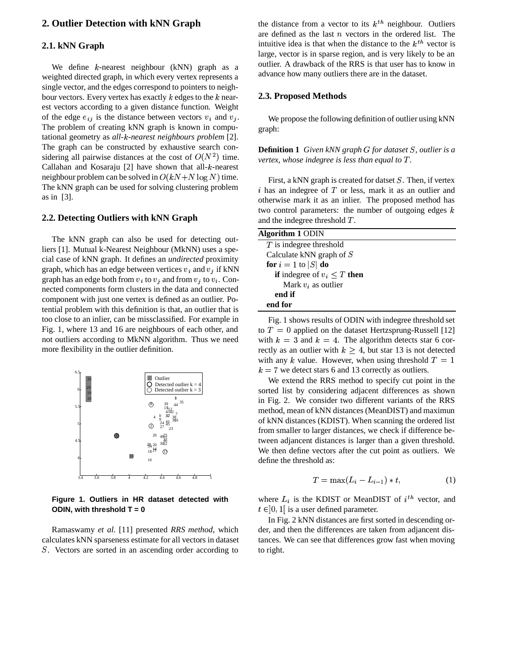# **2. Outlier Detection with kNN Graph**

## **2.1. kNN Graph**

We define  $k$ -nearest neighbour (kNN) graph as a weighted directed graph, in which every vertex represents a single vector, and the edges correspond to pointers to neighbour vectors. Every vertex has exactly  $k$  edges to the  $k$  nearest vectors according to a given distance function. Weight of the edge  $e_{ij}$  is the distance between vectors  $v_i$  and  $v_j$ . The problem of creating kNN graph is known in computational geometry as *all- -nearest neighbours problem* [2]. The graph can be constructed by exhaustive search considering all pairwise distances at the cost of  $O(N^2)$  time. Callahan and Kosaraju  $[2]$  have shown that all-k-nearest neighbour problem can be solved in  $O(kN+N \log N)$  time. The kNN graph can be used for solving clustering problem as in [3].

#### **2.2. Detecting Outliers with kNN Graph**

The kNN graph can also be used for detecting outliers [1]. Mutual k-Nearest Neighbour (MkNN) uses a special case of kNN graph. It defines an *undirected* proximity graph, which has an edge between vertices  $v_i$  and  $v_j$  if kNN graph has an edge both from  $v_i$  to  $v_j$  and from  $v_j$  to  $v_i$ . Connected components form clusters in the data and connected component with just one vertex is defined as an outlier. Potential problem with this definition is that, an outlier that is too close to an inlier, can be missclassified. For example in Fig. 1, where 13 and 16 are neighbours of each other, and not outliers according to MkNN algorithm. Thus we need more flexibility in the outlier definition.



**Figure 1. Outliers in HR dataset detected with ODIN, with threshold T = 0**

Ramaswamy *et al.* [11] presented *RRS method*, which calculates kNN sparseness estimate for all vectors in dataset . Vectors are sorted in an ascending order according to

the distance from a vector to its  $k^{th}$  neighbour. Outliers are defined as the last  $n$  vectors in the ordered list. The intuitive idea is that when the distance to the  $k^{th}$  vector is large, vector is in sparse region, and is very likely to be an outlier. A drawback of the RRS is that user has to know in advance how many outliers there are in the dataset.

#### **2.3. Proposed Methods**

We propose the following definition of outlier using kNN graph:

**Definition 1** *Given kNN graph for dataset , outlier is a vertex, whose indegree is less than equal to .*

First, a kNN graph is created for datset  $S$ . Then, if vertex i has an indegree of  $T$  or less, mark it as an outlier and otherwise mark it as an inlier. The proposed method has two control parameters: the number of outgoing edges  $k$ and the indegree threshold  $T$ .

| Algorithm 1 ODIN                        |  |
|-----------------------------------------|--|
| $T$ is indegree threshold               |  |
| Calculate kNN graph of $S$              |  |
| for $i = 1$ to $ S $ do                 |  |
| <b>if</b> indegree of $v_i \leq T$ then |  |
| Mark $v_i$ as outlier                   |  |
| end if                                  |  |
| end for                                 |  |

Fig. 1 shows results of ODIN with indegree threshold set to  $T = 0$  applied on the dataset Hertzsprung-Russell [12] with  $k = 3$  and  $k = 4$ . The algorithm detects star 6 correctly as an outlier with  $k \geq 4$ , but star 13 is not detected with any k value. However, when using threshold  $T = 1$  $k = 7$  we detect stars 6 and 13 correctly as outliers.

We extend the RRS method to specify cut point in the sorted list by considering adjacent differences as shown in Fig. 2. We consider two different variants of the RRS method, mean of kNN distances (MeanDIST) and maximun of kNN distances (KDIST). When scanning the ordered list from smaller to larger distances, we check if difference between adjancent distances is larger than a given threshold. We then define vectors after the cut point as outliers. We define the threshold as:

$$
T = \max(L_i - L_{i-1}) * t,\tag{1}
$$

where  $L_i$  is the KDIST or MeanDIST of  $i^{th}$  vector, and  $t \in ]0,1[$  is a user defined parameter.

In Fig. 2 kNN distances are first sorted in descending order, and then the differences are taken from adjancent distances. We can see that differences grow fast when moving to right.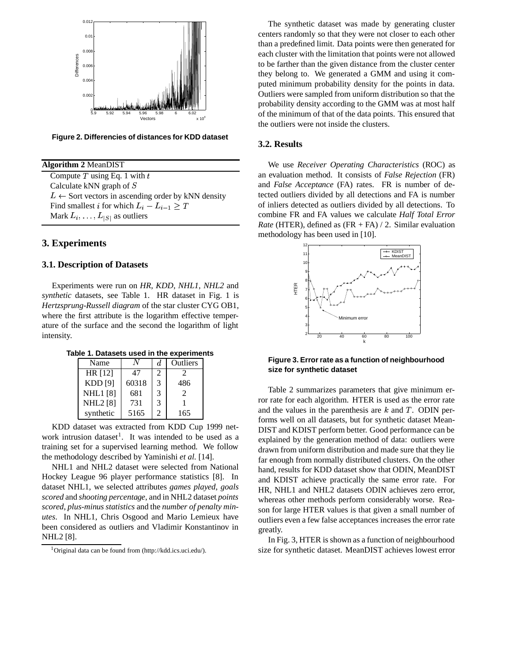

**Figure 2. Differencies of distances for KDD dataset**

**Algorithm 2** MeanDIST Compute  $T$  using Eq. 1 with  $t$ Calculate kNN graph of  $S$  $L \leftarrow$  Sort vectors in ascending order by kNN density Find smallest *i* for which  $L_i - L_{i-1} \geq T$ Mark  $L_i, \ldots, L_{|S|}$  as outliers

## **3. Experiments**

#### **3.1. Description of Datasets**

Experiments were run on *HR*, *KDD*, *NHL1*, *NHL2* and *synthetic* datasets, see Table 1. HR dataset in Fig. 1 is *Hertzsprung-Russell diagram* of the star cluster CYG OB1, where the first attribute is the logarithm effective temperature of the surface and the second the logarithm of light intensity.

**Table 1. Datasets used in the experiments**

| Name            |       | d.            | Outliers      |  |
|-----------------|-------|---------------|---------------|--|
| HR [12]         | 47    | 2             |               |  |
| <b>KDD</b> [9]  | 60318 | $\mathcal{R}$ | 486           |  |
| <b>NHL1</b> [8] | 681   | 3             | $\mathcal{D}$ |  |
| <b>NHL2</b> [8] | 731   | 3             |               |  |
| synthetic       | 5165  | 2             | 165           |  |

KDD dataset was extracted from KDD Cup 1999 network intrusion dataset<sup>1</sup>. It was intended to be used as a training set for a supervised learning method. We follow the methodology described by Yaminishi *et al.* [14].

NHL1 and NHL2 dataset were selected from National Hockey League 96 player performance statistics [8]. In dataset NHL1, we selected attributes *games played*, *goals scored* and *shooting percentage*, and in NHL2 dataset *points scored*, *plus-minus statistics* and the *number of penalty minutes*. In NHL1, Chris Osgood and Mario Lemieux have been considered as outliers and Vladimir Konstantinov in NHL2 [8].

The synthetic dataset was made by generating cluster centers randomly so that they were not closer to each other than a predefined limit. Data points were then generated for each cluster with the limitation that points were not allowed to be farther than the given distance from the cluster center they belong to. We generated a GMM and using it computed minimum probability density for the points in data. Outliers were sampled from uniform distribution so that the probability density according to the GMM was at most half of the minimum of that of the data points. This ensured that the outliers were not inside the clusters.

#### **3.2. Results**

We use *Receiver Operating Characteristics* (ROC) as an evaluation method. It consists of *False Rejection* (FR) and *False Acceptance* (FA) rates. FR is number of detected outliers divided by all detections and FA is number of inliers detected as outliers divided by all detections. To combine FR and FA values we calculate *Half Total Error Rate* (HTER), defined as (FR + FA) / 2. Similar evaluation methodology has been used in [10].



**Figure 3. Errorrate as a function of neighbourhood size for synthetic dataset**

Table 2 summarizes parameters that give minimum error rate for each algorithm. HTER is used as the error rate and the values in the parenthesis are  $k$  and  $T$ . ODIN performs well on all datasets, but for synthetic dataset Mean-DIST and KDIST perform better. Good performance can be explained by the generation method of data: outliers were drawn from uniform distribution and made sure that they lie far enough from normally distributed clusters. On the other hand, results for KDD dataset show that ODIN, MeanDIST and KDIST achieve practically the same error rate. For HR, NHL1 and NHL2 datasets ODIN achieves zero error, whereas other methods perform considerably worse. Reason for large HTER values is that given a small number of outliers even a few false acceptances increases the error rate greatly.

In Fig. 3, HTER is shown as a function of neighbourhood size for synthetic dataset. MeanDIST achieves lowest error

<sup>1</sup>Original data can be found from (http://kdd.ics.uci.edu/).